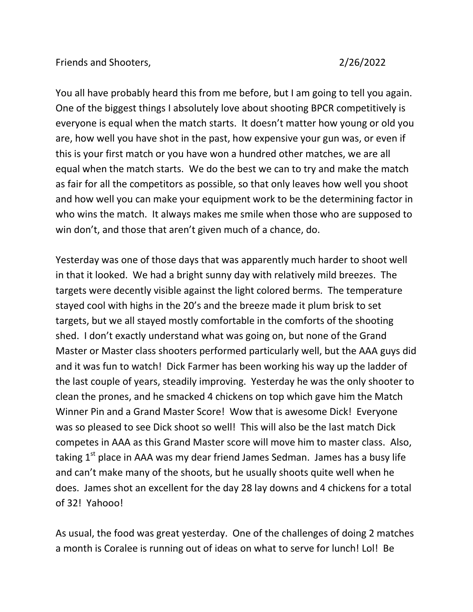You all have probably heard this from me before, but I am going to tell you again. One of the biggest things I absolutely love about shooting BPCR competitively is everyone is equal when the match starts. It doesn't matter how young or old you are, how well you have shot in the past, how expensive your gun was, or even if this is your first match or you have won a hundred other matches, we are all equal when the match starts. We do the best we can to try and make the match as fair for all the competitors as possible, so that only leaves how well you shoot and how well you can make your equipment work to be the determining factor in who wins the match. It always makes me smile when those who are supposed to win don't, and those that aren't given much of a chance, do.

Yesterday was one of those days that was apparently much harder to shoot well in that it looked. We had a bright sunny day with relatively mild breezes. The targets were decently visible against the light colored berms. The temperature stayed cool with highs in the 20's and the breeze made it plum brisk to set targets, but we all stayed mostly comfortable in the comforts of the shooting shed. I don't exactly understand what was going on, but none of the Grand Master or Master class shooters performed particularly well, but the AAA guys did and it was fun to watch! Dick Farmer has been working his way up the ladder of the last couple of years, steadily improving. Yesterday he was the only shooter to clean the prones, and he smacked 4 chickens on top which gave him the Match Winner Pin and a Grand Master Score! Wow that is awesome Dick! Everyone was so pleased to see Dick shoot so well! This will also be the last match Dick competes in AAA as this Grand Master score will move him to master class. Also, taking  $1<sup>st</sup>$  place in AAA was my dear friend James Sedman. James has a busy life and can't make many of the shoots, but he usually shoots quite well when he does. James shot an excellent for the day 28 lay downs and 4 chickens for a total of 32! Yahooo!

As usual, the food was great yesterday. One of the challenges of doing 2 matches a month is Coralee is running out of ideas on what to serve for lunch! Lol! Be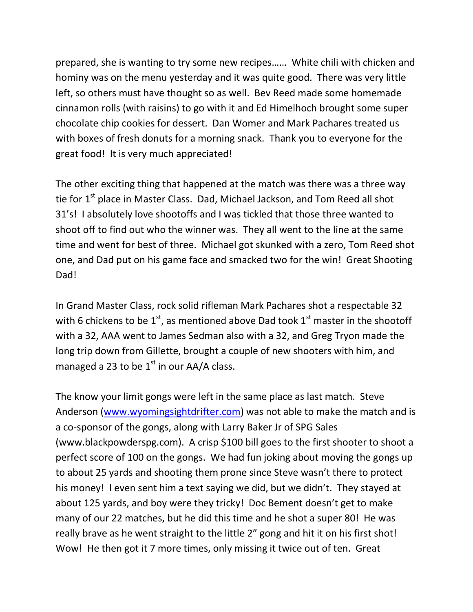prepared, she is wanting to try some new recipes…… White chili with chicken and hominy was on the menu yesterday and it was quite good. There was very little left, so others must have thought so as well. Bev Reed made some homemade cinnamon rolls (with raisins) to go with it and Ed Himelhoch brought some super chocolate chip cookies for dessert. Dan Womer and Mark Pachares treated us with boxes of fresh donuts for a morning snack. Thank you to everyone for the great food! It is very much appreciated!

The other exciting thing that happened at the match was there was a three way tie for 1<sup>st</sup> place in Master Class. Dad, Michael Jackson, and Tom Reed all shot 31's! I absolutely love shootoffs and I was tickled that those three wanted to shoot off to find out who the winner was. They all went to the line at the same time and went for best of three. Michael got skunked with a zero, Tom Reed shot one, and Dad put on his game face and smacked two for the win! Great Shooting Dad!

In Grand Master Class, rock solid rifleman Mark Pachares shot a respectable 32 with 6 chickens to be  $1<sup>st</sup>$ , as mentioned above Dad took  $1<sup>st</sup>$  master in the shootoff with a 32, AAA went to James Sedman also with a 32, and Greg Tryon made the long trip down from Gillette, brought a couple of new shooters with him, and managed a 23 to be  $1<sup>st</sup>$  in our AA/A class.

The know your limit gongs were left in the same place as last match. Steve Anderson [\(www.wyomingsightdrifter.com\)](http://www.wyomingsightdrifter.com/) was not able to make the match and is a co-sponsor of the gongs, along with Larry Baker Jr of SPG Sales (www.blackpowderspg.com). A crisp \$100 bill goes to the first shooter to shoot a perfect score of 100 on the gongs. We had fun joking about moving the gongs up to about 25 yards and shooting them prone since Steve wasn't there to protect his money! I even sent him a text saying we did, but we didn't. They stayed at about 125 yards, and boy were they tricky! Doc Bement doesn't get to make many of our 22 matches, but he did this time and he shot a super 80! He was really brave as he went straight to the little 2" gong and hit it on his first shot! Wow! He then got it 7 more times, only missing it twice out of ten. Great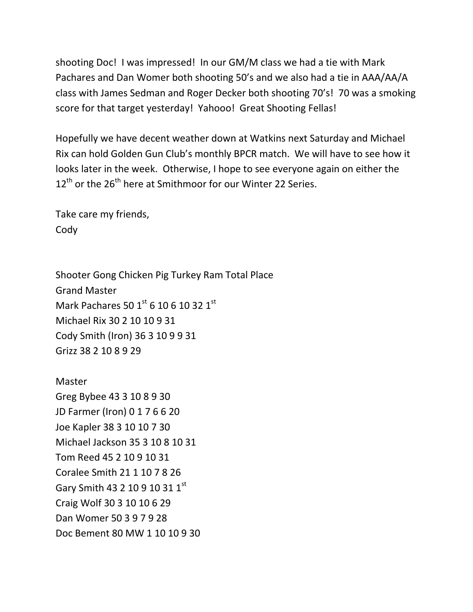shooting Doc! I was impressed! In our GM/M class we had a tie with Mark Pachares and Dan Womer both shooting 50's and we also had a tie in AAA/AA/A class with James Sedman and Roger Decker both shooting 70's! 70 was a smoking score for that target yesterday! Yahooo! Great Shooting Fellas!

Hopefully we have decent weather down at Watkins next Saturday and Michael Rix can hold Golden Gun Club's monthly BPCR match. We will have to see how it looks later in the week. Otherwise, I hope to see everyone again on either the  $12<sup>th</sup>$  or the 26<sup>th</sup> here at Smithmoor for our Winter 22 Series.

Take care my friends, Cody

Shooter Gong Chicken Pig Turkey Ram Total Place Grand Master Mark Pachares 50 1st 6 10 6 10 32 1st Michael Rix 30 2 10 10 9 31 Cody Smith (Iron) 36 3 10 9 9 31 Grizz 38 2 10 8 9 29